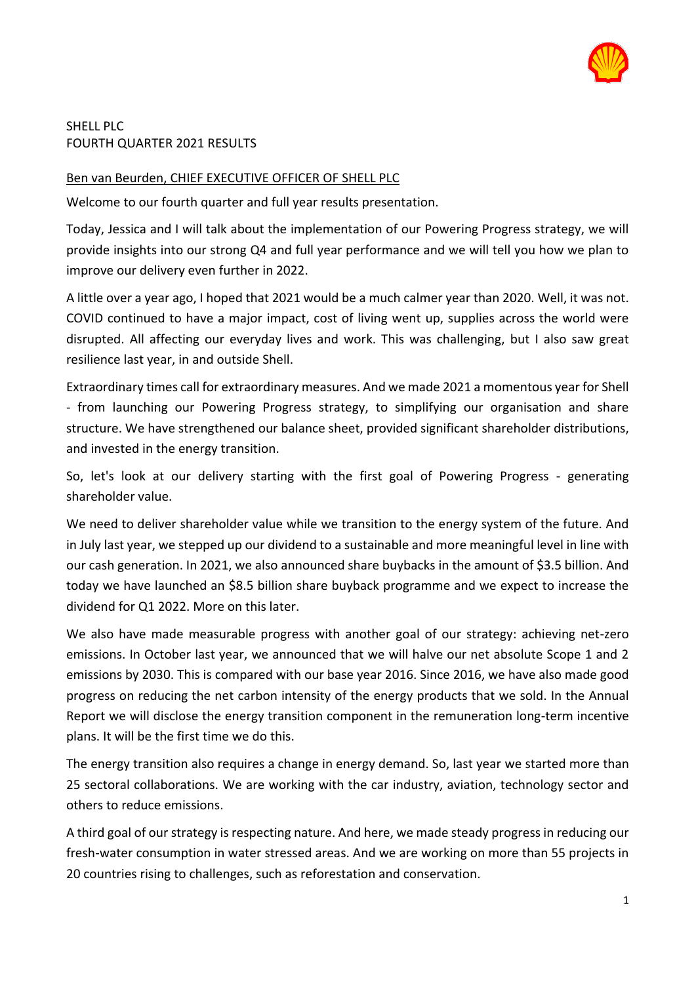

### SHELL PLC FOURTH QUARTER 2021 RESULTS

# Ben van Beurden, CHIEF EXECUTIVE OFFICER OF SHELL PLC

Welcome to our fourth quarter and full year results presentation.

Today, Jessica and I will talk about the implementation of our Powering Progress strategy, we will provide insights into our strong Q4 and full year performance and we will tell you how we plan to improve our delivery even further in 2022.

A little over a year ago, I hoped that 2021 would be a much calmer year than 2020. Well, it was not. COVID continued to have a major impact, cost of living went up, supplies across the world were disrupted. All affecting our everyday lives and work. This was challenging, but I also saw great resilience last year, in and outside Shell.

Extraordinary times call for extraordinary measures. And we made 2021 a momentous year for Shell - from launching our Powering Progress strategy, to simplifying our organisation and share structure. We have strengthened our balance sheet, provided significant shareholder distributions, and invested in the energy transition.

So, let's look at our delivery starting with the first goal of Powering Progress - generating shareholder value.

We need to deliver shareholder value while we transition to the energy system of the future. And in July last year, we stepped up our dividend to a sustainable and more meaningful level in line with our cash generation. In 2021, we also announced share buybacks in the amount of \$3.5 billion. And today we have launched an \$8.5 billion share buyback programme and we expect to increase the dividend for Q1 2022. More on this later.

We also have made measurable progress with another goal of our strategy: achieving net-zero emissions. In October last year, we announced that we will halve our net absolute Scope 1 and 2 emissions by 2030. This is compared with our base year 2016. Since 2016, we have also made good progress on reducing the net carbon intensity of the energy products that we sold. In the Annual Report we will disclose the energy transition component in the remuneration long-term incentive plans. It will be the first time we do this.

The energy transition also requires a change in energy demand. So, last year we started more than 25 sectoral collaborations. We are working with the car industry, aviation, technology sector and others to reduce emissions.

A third goal of our strategy is respecting nature. And here, we made steady progress in reducing our fresh-water consumption in water stressed areas. And we are working on more than 55 projects in 20 countries rising to challenges, such as reforestation and conservation.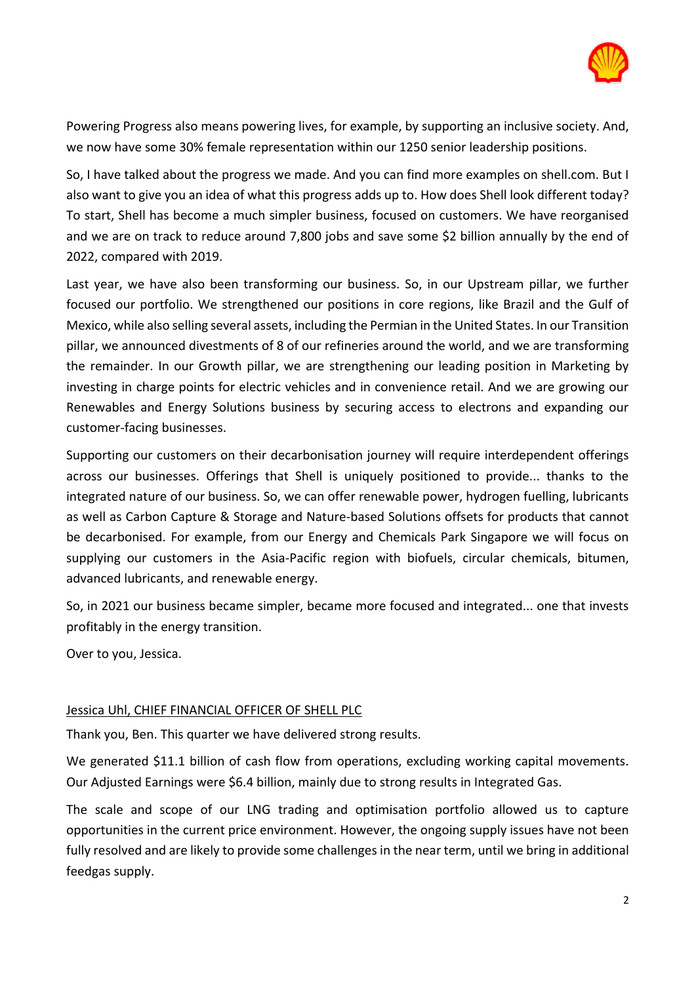

Powering Progress also means powering lives, for example, by supporting an inclusive society. And, we now have some 30% female representation within our 1250 senior leadership positions.

So, I have talked about the progress we made. And you can find more examples on shell.com. But I also want to give you an idea of what this progress adds up to. How does Shell look different today? To start, Shell has become a much simpler business, focused on customers. We have reorganised and we are on track to reduce around 7,800 jobs and save some \$2 billion annually by the end of 2022, compared with 2019.

Last year, we have also been transforming our business. So, in our Upstream pillar, we further focused our portfolio. We strengthened our positions in core regions, like Brazil and the Gulf of Mexico, while also selling several assets, including the Permian in the United States. In our Transition pillar, we announced divestments of 8 of our refineries around the world, and we are transforming the remainder. In our Growth pillar, we are strengthening our leading position in Marketing by investing in charge points for electric vehicles and in convenience retail. And we are growing our Renewables and Energy Solutions business by securing access to electrons and expanding our customer-facing businesses.

Supporting our customers on their decarbonisation journey will require interdependent offerings across our businesses. Offerings that Shell is uniquely positioned to provide... thanks to the integrated nature of our business. So, we can offer renewable power, hydrogen fuelling, lubricants as well as Carbon Capture & Storage and Nature-based Solutions offsets for products that cannot be decarbonised. For example, from our Energy and Chemicals Park Singapore we will focus on supplying our customers in the Asia-Pacific region with biofuels, circular chemicals, bitumen, advanced lubricants, and renewable energy.

So, in 2021 our business became simpler, became more focused and integrated... one that invests profitably in the energy transition.

Over to you, Jessica.

### Jessica Uhl, CHIEF FINANCIAL OFFICER OF SHELL PLC

Thank you, Ben. This quarter we have delivered strong results.

We generated \$11.1 billion of cash flow from operations, excluding working capital movements. Our Adjusted Earnings were \$6.4 billion, mainly due to strong results in Integrated Gas.

The scale and scope of our LNG trading and optimisation portfolio allowed us to capture opportunities in the current price environment. However, the ongoing supply issues have not been fully resolved and are likely to provide some challenges in the near term, until we bring in additional feedgas supply.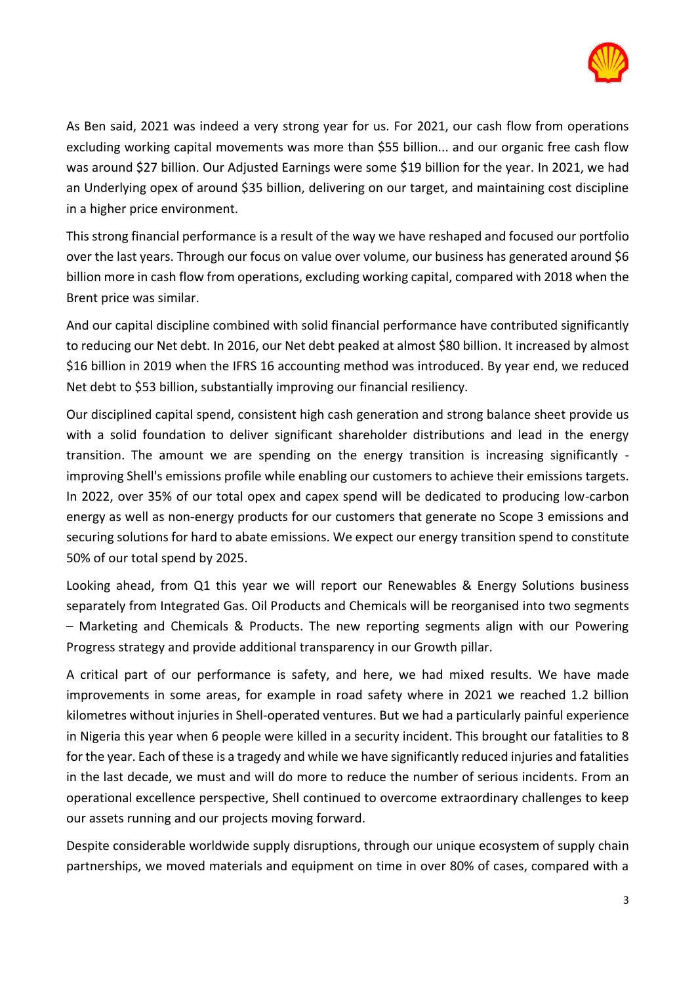

As Ben said, 2021 was indeed a very strong year for us. For 2021, our cash flow from operations excluding working capital movements was more than \$55 billion... and our organic free cash flow was around \$27 billion. Our Adjusted Earnings were some \$19 billion for the year. In 2021, we had an Underlying opex of around \$35 billion, delivering on our target, and maintaining cost discipline in a higher price environment.

This strong financial performance is a result of the way we have reshaped and focused our portfolio over the last years. Through our focus on value over volume, our business has generated around \$6 billion more in cash flow from operations, excluding working capital, compared with 2018 when the Brent price was similar.

And our capital discipline combined with solid financial performance have contributed significantly to reducing our Net debt. In 2016, our Net debt peaked at almost \$80 billion. It increased by almost \$16 billion in 2019 when the IFRS 16 accounting method was introduced. By year end, we reduced Net debt to \$53 billion, substantially improving our financial resiliency.

Our disciplined capital spend, consistent high cash generation and strong balance sheet provide us with a solid foundation to deliver significant shareholder distributions and lead in the energy transition. The amount we are spending on the energy transition is increasing significantly improving Shell's emissions profile while enabling our customers to achieve their emissions targets. In 2022, over 35% of our total opex and capex spend will be dedicated to producing low-carbon energy as well as non-energy products for our customers that generate no Scope 3 emissions and securing solutions for hard to abate emissions. We expect our energy transition spend to constitute 50% of our total spend by 2025.

Looking ahead, from Q1 this year we will report our Renewables & Energy Solutions business separately from Integrated Gas. Oil Products and Chemicals will be reorganised into two segments – Marketing and Chemicals & Products. The new reporting segments align with our Powering Progress strategy and provide additional transparency in our Growth pillar.

A critical part of our performance is safety, and here, we had mixed results. We have made improvements in some areas, for example in road safety where in 2021 we reached 1.2 billion kilometres without injuries in Shell-operated ventures. But we had a particularly painful experience in Nigeria this year when 6 people were killed in a security incident. This brought our fatalities to 8 for the year. Each of these is a tragedy and while we have significantly reduced injuries and fatalities in the last decade, we must and will do more to reduce the number of serious incidents. From an operational excellence perspective, Shell continued to overcome extraordinary challenges to keep our assets running and our projects moving forward.

Despite considerable worldwide supply disruptions, through our unique ecosystem of supply chain partnerships, we moved materials and equipment on time in over 80% of cases, compared with a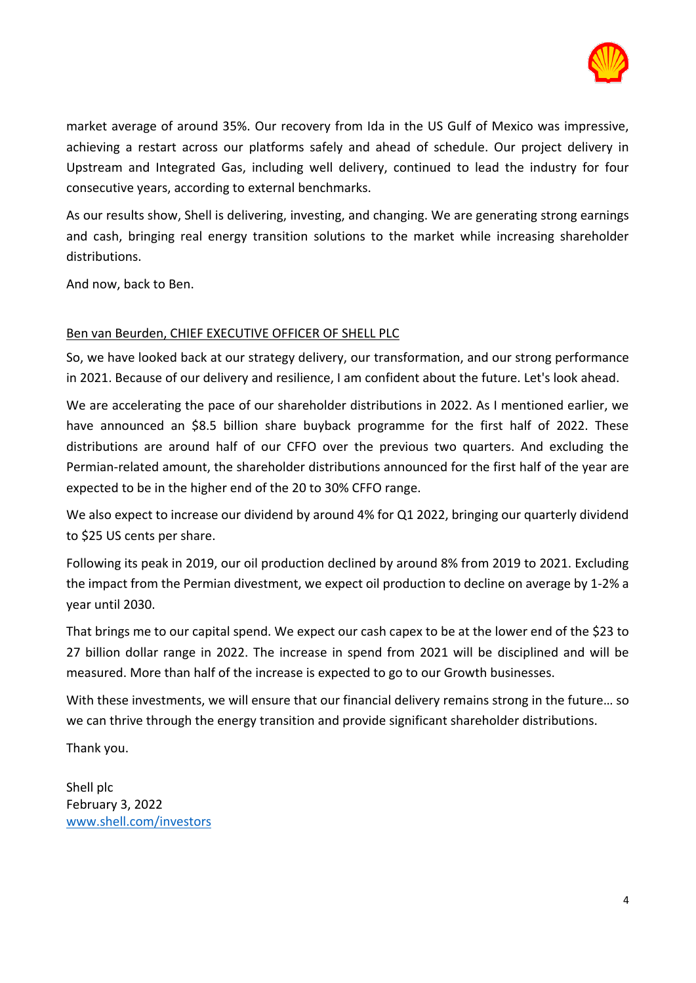

market average of around 35%. Our recovery from Ida in the US Gulf of Mexico was impressive, achieving a restart across our platforms safely and ahead of schedule. Our project delivery in Upstream and Integrated Gas, including well delivery, continued to lead the industry for four consecutive years, according to external benchmarks.

As our results show, Shell is delivering, investing, and changing. We are generating strong earnings and cash, bringing real energy transition solutions to the market while increasing shareholder distributions.

And now, back to Ben.

# Ben van Beurden, CHIEF EXECUTIVE OFFICER OF SHELL PLC

So, we have looked back at our strategy delivery, our transformation, and our strong performance in 2021. Because of our delivery and resilience, I am confident about the future. Let's look ahead.

We are accelerating the pace of our shareholder distributions in 2022. As I mentioned earlier, we have announced an \$8.5 billion share buyback programme for the first half of 2022. These distributions are around half of our CFFO over the previous two quarters. And excluding the Permian-related amount, the shareholder distributions announced for the first half of the year are expected to be in the higher end of the 20 to 30% CFFO range.

We also expect to increase our dividend by around 4% for Q1 2022, bringing our quarterly dividend to \$25 US cents per share.

Following its peak in 2019, our oil production declined by around 8% from 2019 to 2021. Excluding the impact from the Permian divestment, we expect oil production to decline on average by 1-2% a year until 2030.

That brings me to our capital spend. We expect our cash capex to be at the lower end of the \$23 to 27 billion dollar range in 2022. The increase in spend from 2021 will be disciplined and will be measured. More than half of the increase is expected to go to our Growth businesses.

With these investments, we will ensure that our financial delivery remains strong in the future… so we can thrive through the energy transition and provide significant shareholder distributions.

Thank you.

Shell plc February 3, 2022 [www.shell.com/investors](http://www.shell.com/investors)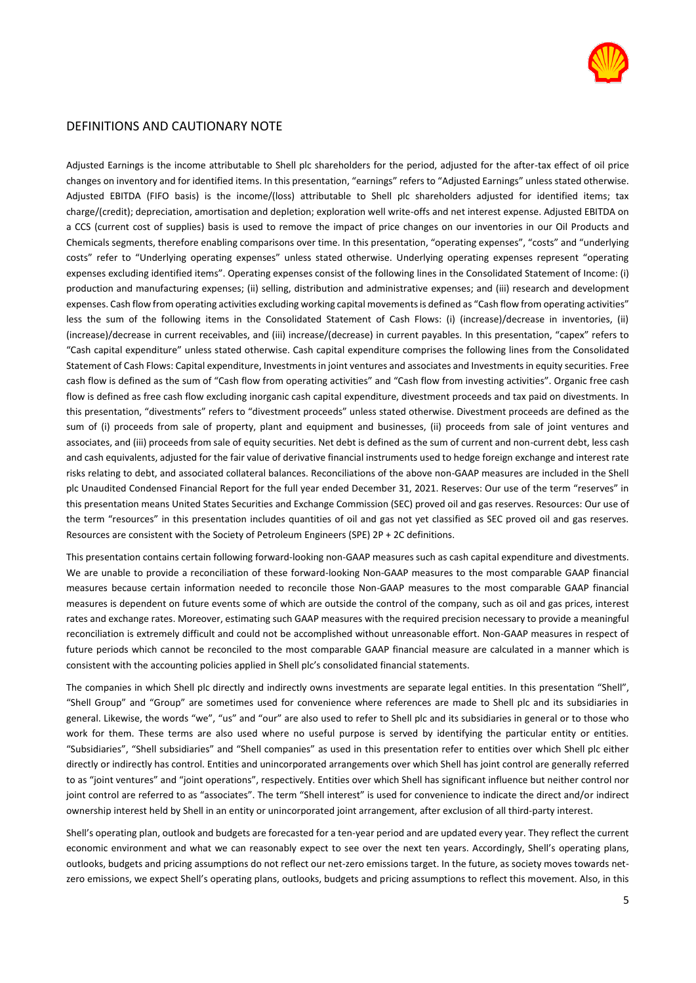

#### DEFINITIONS AND CAUTIONARY NOTE

Adjusted Earnings is the income attributable to Shell plc shareholders for the period, adjusted for the after-tax effect of oil price changes on inventory and for identified items. In this presentation, "earnings" refers to "Adjusted Earnings" unless stated otherwise. Adjusted EBITDA (FIFO basis) is the income/(loss) attributable to Shell plc shareholders adjusted for identified items; tax charge/(credit); depreciation, amortisation and depletion; exploration well write-offs and net interest expense. Adjusted EBITDA on a CCS (current cost of supplies) basis is used to remove the impact of price changes on our inventories in our Oil Products and Chemicals segments, therefore enabling comparisons over time. In this presentation, "operating expenses", "costs" and "underlying costs" refer to "Underlying operating expenses" unless stated otherwise. Underlying operating expenses represent "operating expenses excluding identified items". Operating expenses consist of the following lines in the Consolidated Statement of Income: (i) production and manufacturing expenses; (ii) selling, distribution and administrative expenses; and (iii) research and development expenses. Cash flow from operating activities excluding working capital movements is defined as "Cash flow from operating activities" less the sum of the following items in the Consolidated Statement of Cash Flows: (i) (increase)/decrease in inventories, (ii) (increase)/decrease in current receivables, and (iii) increase/(decrease) in current payables. In this presentation, "capex" refers to "Cash capital expenditure" unless stated otherwise. Cash capital expenditure comprises the following lines from the Consolidated Statement of Cash Flows: Capital expenditure, Investments in joint ventures and associates and Investments in equity securities. Free cash flow is defined as the sum of "Cash flow from operating activities" and "Cash flow from investing activities". Organic free cash flow is defined as free cash flow excluding inorganic cash capital expenditure, divestment proceeds and tax paid on divestments. In this presentation, "divestments" refers to "divestment proceeds" unless stated otherwise. Divestment proceeds are defined as the sum of (i) proceeds from sale of property, plant and equipment and businesses, (ii) proceeds from sale of joint ventures and associates, and (iii) proceeds from sale of equity securities. Net debt is defined as the sum of current and non-current debt, less cash and cash equivalents, adjusted for the fair value of derivative financial instruments used to hedge foreign exchange and interest rate risks relating to debt, and associated collateral balances. Reconciliations of the above non-GAAP measures are included in the Shell plc Unaudited Condensed Financial Report for the full year ended December 31, 2021. Reserves: Our use of the term "reserves" in this presentation means United States Securities and Exchange Commission (SEC) proved oil and gas reserves. Resources: Our use of the term "resources" in this presentation includes quantities of oil and gas not yet classified as SEC proved oil and gas reserves. Resources are consistent with the Society of Petroleum Engineers (SPE) 2P + 2C definitions.

This presentation contains certain following forward-looking non-GAAP measures such as cash capital expenditure and divestments. We are unable to provide a reconciliation of these forward-looking Non-GAAP measures to the most comparable GAAP financial measures because certain information needed to reconcile those Non-GAAP measures to the most comparable GAAP financial measures is dependent on future events some of which are outside the control of the company, such as oil and gas prices, interest rates and exchange rates. Moreover, estimating such GAAP measures with the required precision necessary to provide a meaningful reconciliation is extremely difficult and could not be accomplished without unreasonable effort. Non-GAAP measures in respect of future periods which cannot be reconciled to the most comparable GAAP financial measure are calculated in a manner which is consistent with the accounting policies applied in Shell plc's consolidated financial statements.

The companies in which Shell plc directly and indirectly owns investments are separate legal entities. In this presentation "Shell", "Shell Group" and "Group" are sometimes used for convenience where references are made to Shell plc and its subsidiaries in general. Likewise, the words "we", "us" and "our" are also used to refer to Shell plc and its subsidiaries in general or to those who work for them. These terms are also used where no useful purpose is served by identifying the particular entity or entities. "Subsidiaries", "Shell subsidiaries" and "Shell companies" as used in this presentation refer to entities over which Shell plc either directly or indirectly has control. Entities and unincorporated arrangements over which Shell has joint control are generally referred to as "joint ventures" and "joint operations", respectively. Entities over which Shell has significant influence but neither control nor joint control are referred to as "associates". The term "Shell interest" is used for convenience to indicate the direct and/or indirect ownership interest held by Shell in an entity or unincorporated joint arrangement, after exclusion of all third-party interest.

Shell's operating plan, outlook and budgets are forecasted for a ten-year period and are updated every year. They reflect the current economic environment and what we can reasonably expect to see over the next ten years. Accordingly, Shell's operating plans, outlooks, budgets and pricing assumptions do not reflect our net-zero emissions target. In the future, as society moves towards netzero emissions, we expect Shell's operating plans, outlooks, budgets and pricing assumptions to reflect this movement. Also, in this